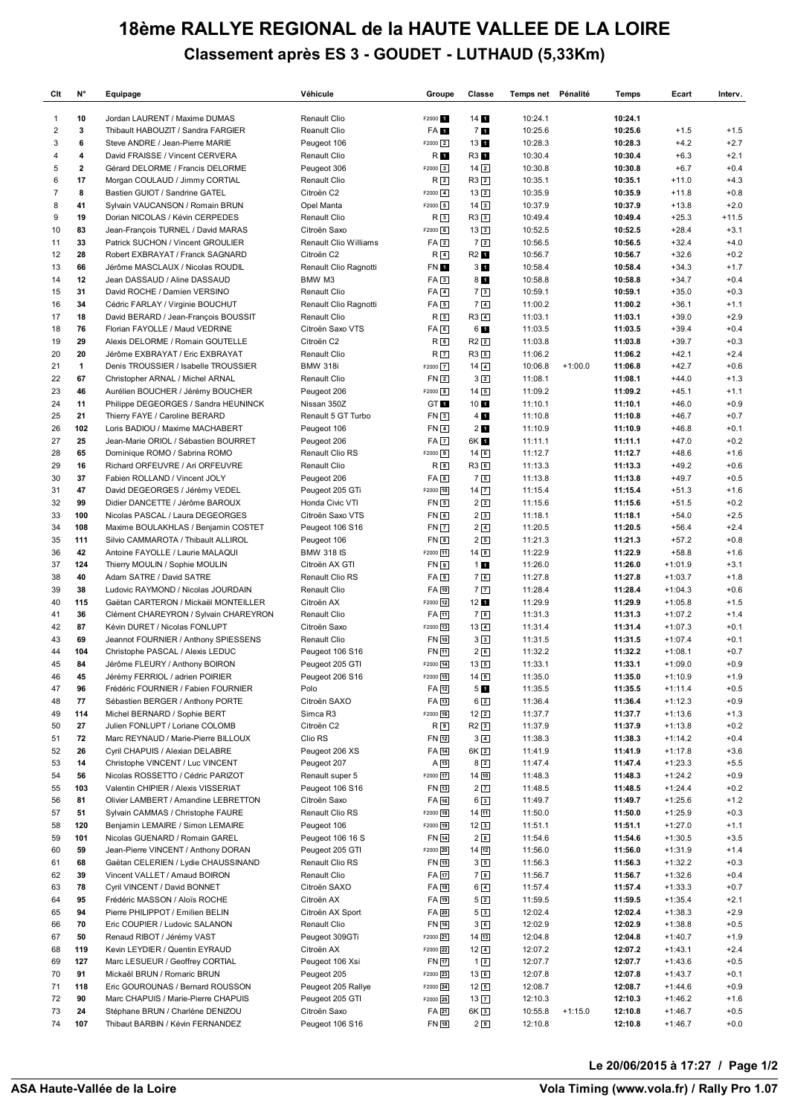## **18ème RALLYE REGIONAL de la HAUTE VALLEE DE LA LOIRE Classement après ES 3 - GOUDET - LUTHAUD (5,33Km)**

| Clt                 | N°           | Equipage                                                                | Véhicule                              | Groupe                     | Classe                              | Temps net Pénalité |           | Temps              | Ecart                  | Interv.          |
|---------------------|--------------|-------------------------------------------------------------------------|---------------------------------------|----------------------------|-------------------------------------|--------------------|-----------|--------------------|------------------------|------------------|
| 1                   | 10           | Jordan LAURENT / Maxime DUMAS                                           | Renault Clio                          | F2000 <sup>1</sup>         | 14                                  | 10:24.1            |           | 10:24.1            |                        |                  |
| $\overline{c}$      | 3            | Thibault HABOUZIT / Sandra FARGIER                                      | Reanult Clio                          | FA 1                       | <b>71</b>                           | 10:25.6            |           | 10:25.6            | $+1.5$                 | $+1.5$           |
| 3                   | 6            | Steve ANDRE / Jean-Pierre MARIE                                         | Peugeot 106                           | $F2000$ 2                  | 13 1                                | 10:28.3            |           | 10:28.3            | $+4.2$                 | $+2.7$           |
| 4                   | 4            | David FRAISSE / Vincent CERVERA                                         | Renault Clio                          | R 1                        | R3 1                                | 10:30.4            |           | 10:30.4            | $+6.3$                 | $+2.1$           |
| 5                   | $\mathbf{2}$ | Gérard DELORME / Francis DELORME                                        | Peugeot 306                           | F2000 3                    | $14\sqrt{2}$                        | 10:30.8            |           | 10:30.8            | $+6.7$                 | $+0.4$           |
| 6<br>$\overline{7}$ | 17<br>8      | Morgan COULAUD / Jimmy CORTIAL                                          | Renault Clio                          | R <sub>2</sub>             | $R3$ <sup>2</sup>                   | 10:35.1            |           | 10:35.1<br>10:35.9 | $+11.0$                | $+4.3$<br>$+0.8$ |
| 8                   | 41           | Bastien GUIOT / Sandrine GATEL<br>Sylvain VAUCANSON / Romain BRUN       | Citroën C2<br>Opel Manta              | $F2000$ $4$<br>$F2000$ 5   | $13\sqrt{2}$<br>$14\sqrt{3}$        | 10:35.9<br>10:37.9 |           | 10:37.9            | $+11.8$<br>$+13.8$     | $+2.0$           |
| 9                   | 19           | Dorian NICOLAS / Kévin CERPEDES                                         | Renault Clio                          | $R_3$                      | R33                                 | 10:49.4            |           | 10:49.4            | $+25.3$                | $+11.5$          |
| 10                  | 83           | Jean-François TURNEL / David MARAS                                      | Citroën Saxo                          | F2000 6                    | $13\sqrt{3}$                        | 10:52.5            |           | 10:52.5            | $+28.4$                | $+3.1$           |
| 11                  | 33           | Patrick SUCHON / Vincent GROULIER                                       | Renault Clio Williams                 | FA <sub>2</sub>            | 7 <sub>2</sub>                      | 10:56.5            |           | 10:56.5            | $+32.4$                | $+4.0$           |
| 12                  | 28           | Robert EXBRAYAT / Franck SAGNARD                                        | Citroën C2                            | R <sub>4</sub>             | R2 1                                | 10:56.7            |           | 10:56.7            | $+32.6$                | $+0.2$           |
| 13                  | 66           | Jérôme MASCLAUX / Nicolas ROUDIL                                        | Renault Clio Ragnotti                 | FN 1                       | 3 <sub>1</sub>                      | 10:58.4            |           | 10:58.4            | $+34.3$                | $+1.7$           |
| 14                  | 12           | Jean DASSAUD / Aline DASSAUD                                            | BMW M3                                | FA3                        | 81                                  | 10:58.8            |           | 10:58.8            | $+34.7$                | $+0.4$           |
| 15                  | 31           | David ROCHE / Damien VERSINO                                            | Renault Clio                          | $FA$ <sup>4</sup>          | 73                                  | 10:59.1            |           | 10:59.1            | $+35.0$                | $+0.3$           |
| 16<br>17            | 34<br>18     | Cédric FARLAY / Virginie BOUCHUT                                        | Renault Clio Ragnotti<br>Renault Clio | $FA$ 5<br>$R_{5}$          | 7 <sub>4</sub><br>$R3$ <sup>4</sup> | 11:00.2<br>11:03.1 |           | 11:00.2<br>11:03.1 | $+36.1$<br>$+39.0$     | $+1.1$<br>$+2.9$ |
| 18                  | 76           | David BERARD / Jean-François BOUSSIT<br>Florian FAYOLLE / Maud VEDRINE  | Citroën Saxo VTS                      | FA6                        | 61                                  | 11:03.5            |           | 11:03.5            | $+39.4$                | $+0.4$           |
| 19                  | 29           | Alexis DELORME / Romain GOUTELLE                                        | Citroën C2                            | $R_{6}$                    | $R2$ $2$                            | 11:03.8            |           | 11:03.8            | $+39.7$                | $+0.3$           |
| 20                  | 20           | Jérôme EXBRAYAT / Eric EXBRAYAT                                         | Renault Clio                          | R <sub>7</sub>             | R3 5                                | 11:06.2            |           | 11:06.2            | $+42.1$                | $+2.4$           |
| 21                  | $\mathbf{1}$ | Denis TROUSSIER / Isabelle TROUSSIER                                    | <b>BMW 318i</b>                       | F2000 7                    | $14\sqrt{4}$                        | 10:06.8            | $+1:00.0$ | 11:06.8            | $+42.7$                | $+0.6$           |
| 22                  | 67           | Christopher ARNAL / Michel ARNAL                                        | Renault Clio                          | FN <sub>2</sub>            | 3 <sub>2</sub>                      | 11:08.1            |           | 11:08.1            | $+44.0$                | $+1.3$           |
| 23                  | 46           | Aurélien BOUCHER / Jérémy BOUCHER                                       | Peugeot 206                           | F2000 8                    | $14\overline{5}$                    | 11:09.2            |           | 11:09.2            | $+45.1$                | $+1.1$           |
| 24                  | 11           | Philippe DEGEORGES / Sandra HEUNINCK                                    | Nissan 350Z                           | GT <sub>1</sub>            | 10 1                                | 11:10.1            |           | 11:10.1            | $+46.0$                | $+0.9$           |
| 25                  | 21           | Thierry FAYE / Caroline BERARD                                          | Renault 5 GT Turbo                    | FN <sub>3</sub>            | $4$ $\blacksquare$                  | 11:10.8            |           | 11:10.8            | $+46.7$                | $+0.7$           |
| 26                  | 102          | Loris BADIOU / Maxime MACHABERT                                         | Peugeot 106                           | FN <sub>4</sub>            | 2 <sub>1</sub>                      | 11:10.9            |           | 11:10.9            | $+46.8$                | $+0.1$           |
| 27<br>28            | 25<br>65     | Jean-Marie ORIOL / Sébastien BOURRET<br>Dominique ROMO / Sabrina ROMO   | Peugeot 206<br>Renault Clio RS        | $FA$ $7$<br>F2000 9        | 6K 1<br>$14$ 6                      | 11:11.1<br>11:12.7 |           | 11:11.1<br>11:12.7 | $+47.0$<br>$+48.6$     | $+0.2$<br>$+1.6$ |
| 29                  | 16           | Richard ORFEUVRE / Ari ORFEUVRE                                         | Renault Clio                          | R8                         | R3 6                                | 11:13.3            |           | 11:13.3            | $+49.2$                | $+0.6$           |
| 30                  | 37           | Fabien ROLLAND / Vincent JOLY                                           | Peugeot 206                           | FAB                        | 75                                  | 11:13.8            |           | 11:13.8            | $+49.7$                | $+0.5$           |
| 31                  | 47           | David DEGEORGES / Jérémy VEDEL                                          | Peugeot 205 GTi                       | F2000 10                   | $14\overline{7}$                    | 11:15.4            |           | 11:15.4            | $+51.3$                | $+1.6$           |
| 32                  | 99           | Didier DANCETTE / Jérôme BAROUX                                         | Honda Civic VTI                       | FN <sub>5</sub>            | $2\sqrt{2}$                         | 11:15.6            |           | 11:15.6            | $+51.5$                | $+0.2$           |
| 33                  | 100          | Nicolas PASCAL / Laura DEGEORGES                                        | Citroën Saxo VTS                      | FN <sub>6</sub>            | 23                                  | 11:18.1            |           | 11:18.1            | $+54.0$                | $+2.5$           |
| 34                  | 108          | Maxime BOULAKHLAS / Benjamin COSTET                                     | Peugeot 106 S16                       | <b>FN7</b>                 | $2\sqrt{4}$                         | 11:20.5            |           | 11:20.5            | $+56.4$                | $+2.4$           |
| 35                  | 111          | Silvio CAMMAROTA / Thibault ALLIROL                                     | Peugeot 106                           | FN <sub>8</sub>            | 25                                  | 11:21.3            |           | 11:21.3            | $+57.2$                | $+0.8$           |
| 36                  | 42           | Antoine FAYOLLE / Laurie MALAQUI                                        | <b>BMW 318 IS</b>                     | F2000 11                   | 14B                                 | 11:22.9            |           | 11:22.9            | $+58.8$                | $+1.6$           |
| 37                  | 124          | Thierry MOULIN / Sophie MOULIN                                          | Citroën AX GTI                        | FN <sub>9</sub>            | 11                                  | 11:26.0            |           | 11:26.0            | $+1:01.9$              | $+3.1$           |
| 38<br>39            | 40<br>38     | Adam SATRE / David SATRE<br>Ludovic RAYMOND / Nicolas JOURDAIN          | Renault Clio RS<br>Renault Clio       | $FA$ <sup>9</sup><br>FA 10 | 76<br>7 <sub>7</sub>                | 11:27.8<br>11:28.4 |           | 11:27.8<br>11:28.4 | $+1:03.7$<br>$+1:04.3$ | $+1.8$<br>$+0.6$ |
| 40                  | 115          | Gaëtan CARTERON / Mickaël MONTEILLER                                    | Citroën AX                            | F2000 12                   | 12 <sub>1</sub>                     | 11:29.9            |           | 11:29.9            | $+1:05.8$              | $+1.5$           |
| 41                  | 36           | Clément CHAREYRON / Sylvain CHAREYRON                                   | Renault Clio                          | FA 11                      | 78                                  | 11:31.3            |           | 11:31.3            | $+1:07.2$              | $+1.4$           |
| 42                  | 87           | Kévin DURET / Nicolas FONLUPT                                           | Citroën Saxo                          | F2000 13                   | $13\overline{4}$                    | 11:31.4            |           | 11:31.4            | $+1:07.3$              | $+0.1$           |
| 43                  | 69           | Jeannot FOURNIER / Anthony SPIESSENS                                    | Renault Clio                          | FN 10                      | 3 <sup>3</sup>                      | 11:31.5            |           | 11:31.5            | $+1:07.4$              | $+0.1$           |
| 44                  | 104          | Christophe PASCAL / Alexis LEDUC                                        | Peugeot 106 S16                       | FN 11                      | 26                                  | 11:32.2            |           | 11:32.2            | $+1:08.1$              | $+0.7$           |
| 45                  | 84           | Jérôme FLEURY / Anthony BOIRON                                          | Peugeot 205 GTI                       | F2000 14                   | $13\sqrt{5}$                        | 11:33.1            |           | 11:33.1            | $+1:09.0$              | $+0.9$           |
| 46                  | 45           | Jérémy FERRIOL / adrien POIRIER                                         | Peugeot 206 S16                       | F2000 15                   | $14$ 9                              | 11:35.0            |           | 11:35.0            | $+1:10.9$              | $+1.9$           |
| 47<br>48            | 96<br>77     | Frédéric FOURNIER / Fabien FOURNIER<br>Sébastien BERGER / Anthony PORTE | Polo<br>Citroën SAXO                  | FA 12<br>FA 13             | 5 <sub>1</sub><br>$6\sqrt{2}$       | 11:35.5<br>11:36.4 |           | 11:35.5<br>11:36.4 | $+1:11.4$<br>$+1:12.3$ | $+0.5$<br>$+0.9$ |
| 49                  | 114          | Michel BERNARD / Sophie BERT                                            | Simca R3                              | F2000 16                   | $12$ $2$                            | 11:37.7            |           | 11:37.7            | $+1:13.6$              | $+1.3$           |
| 50                  | 27           | Julien FONLUPT / Loriane COLOMB                                         | Citroën C2                            | R <sub>9</sub>             | $R2$ 3                              | 11:37.9            |           | 11:37.9            | $+1:13.8$              | $+0.2$           |
| 51                  | 72           | Marc REYNAUD / Marie-Pierre BILLOUX                                     | Clio RS                               | FN 12                      | $3\sqrt{4}$                         | 11:38.3            |           | 11:38.3            | $+1:14.2$              | $+0.4$           |
| 52                  | 26           | Cyril CHAPUIS / Alexian DELABRE                                         | Peugeot 206 XS                        | FA 14                      | 6K 2                                | 11:41.9            |           | 11:41.9            | $+1:17.8$              | $+3.6$           |
| 53                  | 14           | Christophe VINCENT / Luc VINCENT                                        | Peugeot 207                           | $A$ 15                     | $8\sqrt{2}$                         | 11:47.4            |           | 11:47.4            | $+1:23.3$              | $+5.5$           |
| 54                  | 56           | Nicolas ROSSETTO / Cédric PARIZOT                                       | Renault super 5                       | F2000 17                   | $14$ $10$                           | 11:48.3            |           | 11:48.3            | $+1:24.2$              | $+0.9$           |
| 55                  | 103          | Valentin CHIPIER / Alexis VISSERIAT                                     | Peugeot 106 S16                       | FN [13]                    | $2\sqrt{7}$                         | 11:48.5            |           | 11:48.5            | $+1:24.4$              | $+0.2$           |
| 56                  | 81           | Olivier LAMBERT / Amandine LEBRETTON                                    | Citroën Saxo                          | FA 16                      | $6\sqrt{3}$                         | 11:49.7            |           | 11:49.7            | $+1:25.6$              | $+1.2$           |
| 57<br>58            | 51<br>120    | Sylvain CAMMAS / Christophe FAURE<br>Benjamin LEMAIRE / Simon LEMAIRE   | Renault Clio RS<br>Peugeot 106        | F2000 18<br>F2000 19       | $14$ $11$<br>$12\sqrt{3}$           | 11:50.0<br>11:51.1 |           | 11:50.0<br>11:51.1 | $+1:25.9$<br>$+1:27.0$ | $+0.3$<br>$+1.1$ |
| 59                  | 101          | Nicolas GUENARD / Romain GAREL                                          | Peugeot 106 16 S                      | FN [14]                    | 23                                  | 11:54.6            |           | 11:54.6            | $+1:30.5$              | $+3.5$           |
| 60                  | 59           | Jean-Pierre VINCENT / Anthony DORAN                                     | Peugeot 205 GTI                       | F2000 20                   | $14$ $12$                           | 11:56.0            |           | 11:56.0            | $+1:31.9$              | $+1.4$           |
| 61                  | 68           | Gaëtan CELERIEN / Lydie CHAUSSINAND                                     | Renault Clio RS                       | FN [15]                    | $3\sqrt{5}$                         | 11:56.3            |           | 11:56.3            | $+1:32.2$              | $+0.3$           |
| 62                  | 39           | Vincent VALLET / Arnaud BOIRON                                          | Renault Clio                          | FA 17                      | 79                                  | 11:56.7            |           | 11:56.7            | $+1:32.6$              | $+0.4$           |
| 63                  | 78           | Cyril VINCENT / David BONNET                                            | Citroën SAXO                          | FA [18]                    | $6\sqrt{4}$                         | 11:57.4            |           | 11:57.4            | $+1:33.3$              | $+0.7$           |
| 64                  | 95           | Frédéric MASSON / Aloïs ROCHE                                           | Citroën AX                            | FA 19                      | $5\sqrt{2}$                         | 11:59.5            |           | 11:59.5            | $+1:35.4$              | $+2.1$           |
| 65                  | 94           | Pierre PHILIPPOT / Emilien BELIN                                        | Citroën AX Sport                      | FA 20                      | 53                                  | 12:02.4            |           | 12:02.4            | $+1:38.3$              | $+2.9$           |
| 66                  | 70           | Eric COUPIER / Ludovic SALANON                                          | Renault Clio                          | FN 16                      | 36                                  | 12:02.9            |           | 12:02.9            | $+1:38.8$              | $+0.5$           |
| 67<br>68            | 50<br>119    | Renaud RIBOT / Jérémy VAST<br>Kevin LEYDIER / Quentin EYRAUD            | Peugeot 309GTi<br>Citroën AX          | F2000 21<br>F2000 22       | $14$ $13$<br>$12\sqrt{4}$           | 12:04.8<br>12:07.2 |           | 12:04.8<br>12:07.2 | $+1:40.7$<br>$+1:43.1$ | $+1.9$<br>$+2.4$ |
| 69                  | 127          | Marc LESUEUR / Geoffrey CORTIAL                                         | Peugeot 106 Xsi                       | FN 17                      | $1\sqrt{2}$                         | 12:07.7            |           | 12:07.7            | $+1:43.6$              | $+0.5$           |
| 70                  | 91           | Mickaël BRUN / Romaric BRUN                                             | Peugeot 205                           | F2000 23                   | $13$ 6                              | 12:07.8            |           | 12:07.8            | $+1:43.7$              | $+0.1$           |
| 71                  | 118          | Eric GOUROUNAS / Bernard ROUSSON                                        | Peugeot 205 Rallye                    | F2000 24                   | $12\sqrt{5}$                        | 12:08.7            |           | 12:08.7            | $+1:44.6$              | $+0.9$           |
| 72                  | 90           | Marc CHAPUIS / Marie-Pierre CHAPUIS                                     | Peugeot 205 GTI                       | F2000 25                   | $13\boxed{7}$                       | 12:10.3            |           | 12:10.3            | $+1:46.2$              | $+1.6$           |
| 73                  | 24           | Stéphane BRUN / Charlène DENIZOU                                        | Citroën Saxo                          | FA 21                      | 6K 3                                | 10:55.8            | $+1:15.0$ | 12:10.8            | $+1:46.7$              | $+0.5$           |
| 74                  | 107          | Thibaut BARBIN / Kévin FERNANDEZ                                        | Peugeot 106 S16                       | FN [18]                    | 29                                  | 12:10.8            |           | 12:10.8            | $+1:46.7$              | $+0.0$           |

**Le 20/06/2015 à 17:27 / Page 1/2**